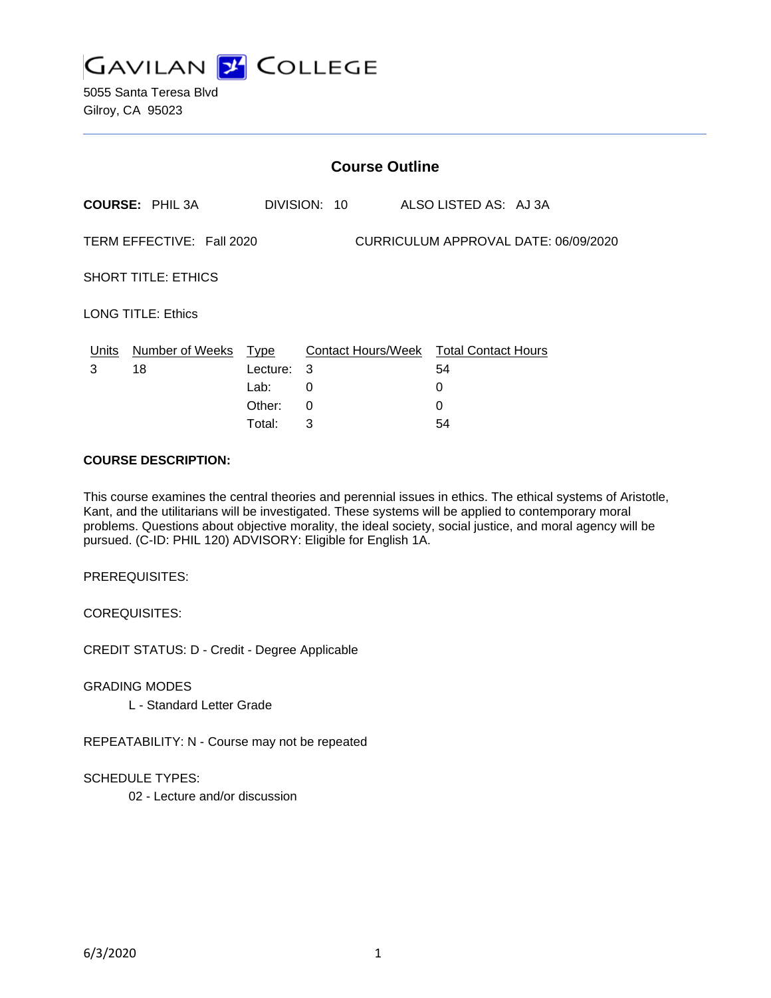

5055 Santa Teresa Blvd Gilroy, CA 95023

| <b>Course Outline</b>                                             |                        |                                              |                  |  |                                                              |
|-------------------------------------------------------------------|------------------------|----------------------------------------------|------------------|--|--------------------------------------------------------------|
|                                                                   | <b>COURSE: PHIL 3A</b> |                                              | DIVISION: 10     |  | ALSO LISTED AS: AJ 3A                                        |
| TERM EFFECTIVE: Fall 2020<br>CURRICULUM APPROVAL DATE: 06/09/2020 |                        |                                              |                  |  |                                                              |
| <b>SHORT TITLE: ETHICS</b>                                        |                        |                                              |                  |  |                                                              |
| <b>LONG TITLE: Ethics</b>                                         |                        |                                              |                  |  |                                                              |
| Units<br>3                                                        | Number of Weeks<br>18  | Type<br>Lecture:<br>Lab:<br>Other:<br>Total: | 3<br>0<br>0<br>3 |  | Contact Hours/Week Total Contact Hours<br>54<br>0<br>0<br>54 |

#### **COURSE DESCRIPTION:**

This course examines the central theories and perennial issues in ethics. The ethical systems of Aristotle, Kant, and the utilitarians will be investigated. These systems will be applied to contemporary moral problems. Questions about objective morality, the ideal society, social justice, and moral agency will be pursued. (C-ID: PHIL 120) ADVISORY: Eligible for English 1A.

PREREQUISITES:

COREQUISITES:

CREDIT STATUS: D - Credit - Degree Applicable

GRADING MODES

L - Standard Letter Grade

REPEATABILITY: N - Course may not be repeated

SCHEDULE TYPES:

02 - Lecture and/or discussion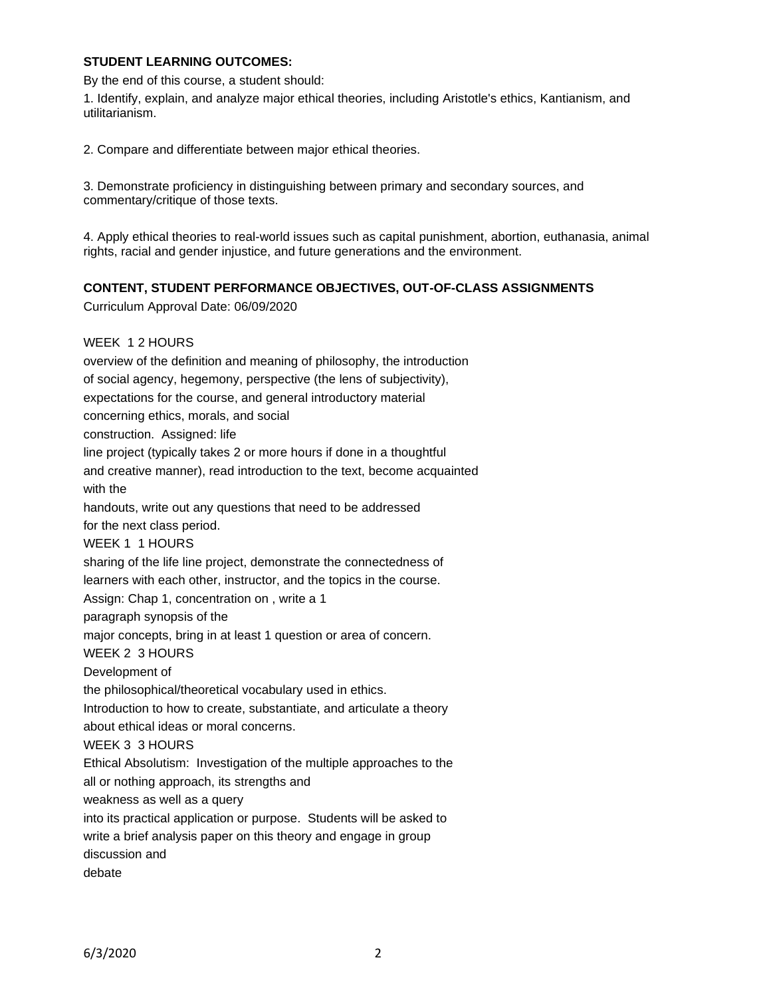#### **STUDENT LEARNING OUTCOMES:**

By the end of this course, a student should:

1. Identify, explain, and analyze major ethical theories, including Aristotle's ethics, Kantianism, and utilitarianism.

2. Compare and differentiate between major ethical theories.

3. Demonstrate proficiency in distinguishing between primary and secondary sources, and commentary/critique of those texts.

4. Apply ethical theories to real-world issues such as capital punishment, abortion, euthanasia, animal rights, racial and gender injustice, and future generations and the environment.

## **CONTENT, STUDENT PERFORMANCE OBJECTIVES, OUT-OF-CLASS ASSIGNMENTS**

Curriculum Approval Date: 06/09/2020

WEEK 1 2 HOURS overview of the definition and meaning of philosophy, the introduction of social agency, hegemony, perspective (the lens of subjectivity), expectations for the course, and general introductory material concerning ethics, morals, and social construction. Assigned: life line project (typically takes 2 or more hours if done in a thoughtful and creative manner), read introduction to the text, become acquainted with the handouts, write out any questions that need to be addressed for the next class period. WEEK 1 1 HOURS sharing of the life line project, demonstrate the connectedness of learners with each other, instructor, and the topics in the course. Assign: Chap 1, concentration on , write a 1 paragraph synopsis of the major concepts, bring in at least 1 question or area of concern. WEEK 2 3 HOURS Development of the philosophical/theoretical vocabulary used in ethics. Introduction to how to create, substantiate, and articulate a theory about ethical ideas or moral concerns. WEEK 3 3 HOURS Ethical Absolutism: Investigation of the multiple approaches to the all or nothing approach, its strengths and weakness as well as a query into its practical application or purpose. Students will be asked to write a brief analysis paper on this theory and engage in group discussion and debate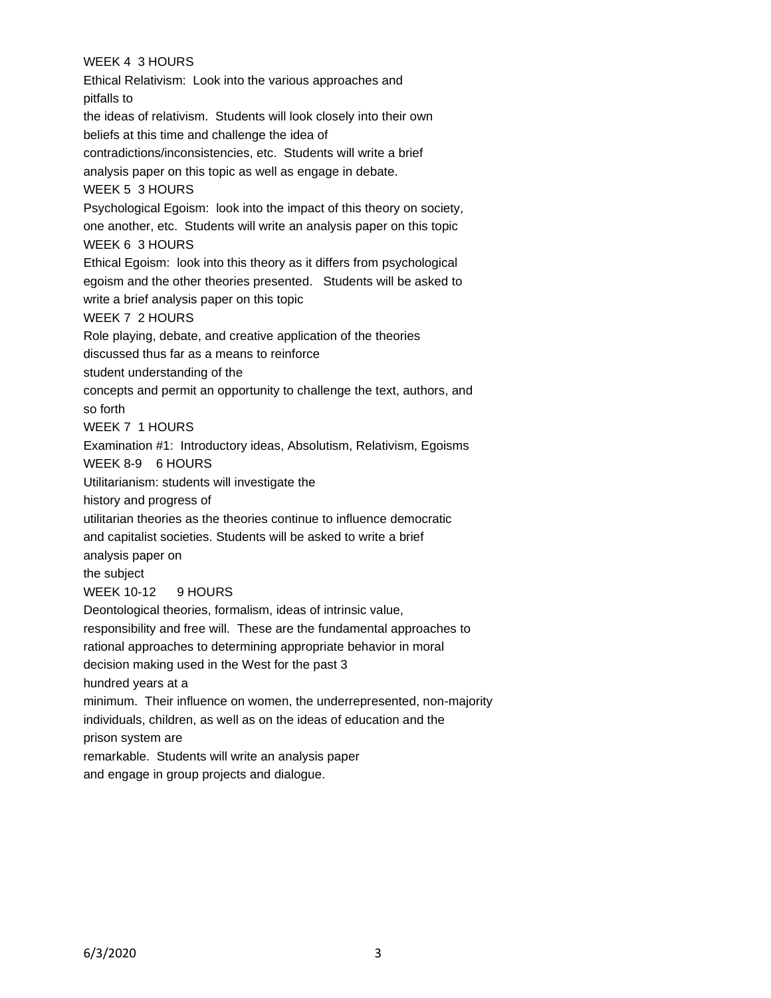# WEEK 4 3 HOURS

Ethical Relativism: Look into the various approaches and pitfalls to the ideas of relativism. Students will look closely into their own beliefs at this time and challenge the idea of contradictions/inconsistencies, etc. Students will write a brief analysis paper on this topic as well as engage in debate. WEEK 5 3 HOURS Psychological Egoism: look into the impact of this theory on society, one another, etc. Students will write an analysis paper on this topic WEEK 6 3 HOURS Ethical Egoism: look into this theory as it differs from psychological egoism and the other theories presented. Students will be asked to write a brief analysis paper on this topic WEEK 7 2 HOURS Role playing, debate, and creative application of the theories discussed thus far as a means to reinforce student understanding of the concepts and permit an opportunity to challenge the text, authors, and so forth WEEK 7 1 HOURS Examination #1: Introductory ideas, Absolutism, Relativism, Egoisms WEEK 8-9 6 HOURS Utilitarianism: students will investigate the history and progress of utilitarian theories as the theories continue to influence democratic and capitalist societies. Students will be asked to write a brief analysis paper on the subject WEEK 10-12 9 HOURS Deontological theories, formalism, ideas of intrinsic value, responsibility and free will. These are the fundamental approaches to rational approaches to determining appropriate behavior in moral decision making used in the West for the past 3 hundred years at a minimum. Their influence on women, the underrepresented, non-majority individuals, children, as well as on the ideas of education and the prison system are remarkable. Students will write an analysis paper and engage in group projects and dialogue.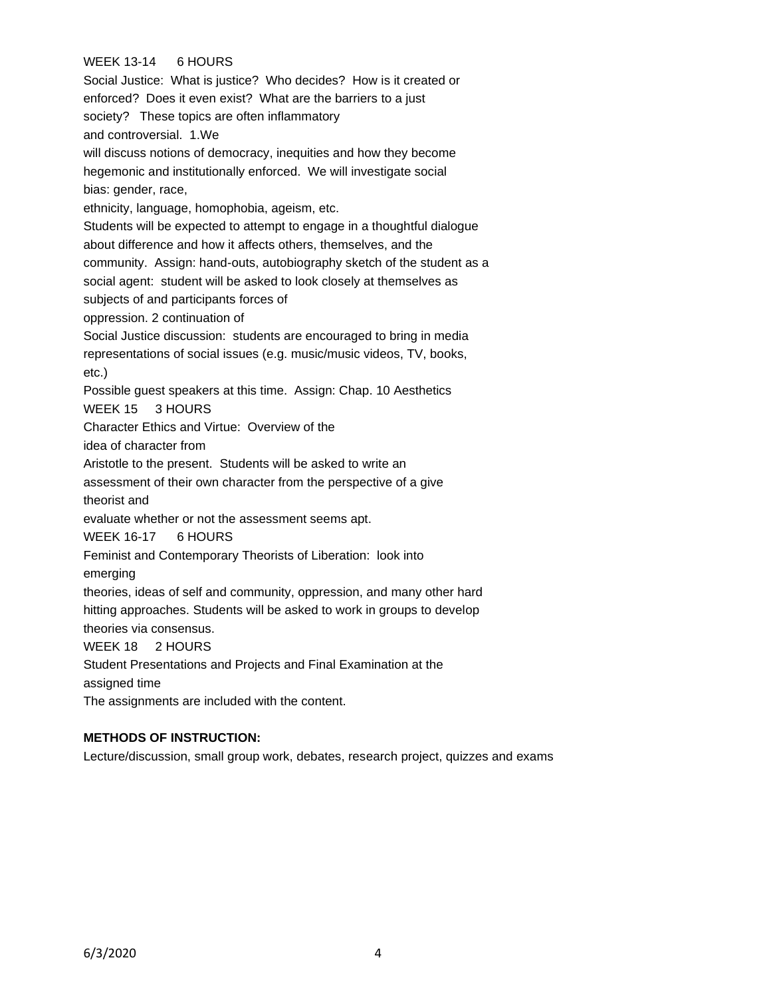# WEEK 13-14 6 HOURS

Social Justice: What is justice? Who decides? How is it created or enforced? Does it even exist? What are the barriers to a just society? These topics are often inflammatory and controversial. 1.We will discuss notions of democracy, inequities and how they become hegemonic and institutionally enforced. We will investigate social bias: gender, race, ethnicity, language, homophobia, ageism, etc. Students will be expected to attempt to engage in a thoughtful dialogue about difference and how it affects others, themselves, and the community. Assign: hand-outs, autobiography sketch of the student as a social agent: student will be asked to look closely at themselves as subjects of and participants forces of oppression. 2 continuation of Social Justice discussion: students are encouraged to bring in media representations of social issues (e.g. music/music videos, TV, books, etc.) Possible guest speakers at this time. Assign: Chap. 10 Aesthetics WEEK 15 3 HOURS Character Ethics and Virtue: Overview of the idea of character from Aristotle to the present. Students will be asked to write an assessment of their own character from the perspective of a give theorist and evaluate whether or not the assessment seems apt. WEEK 16-17 6 HOURS Feminist and Contemporary Theorists of Liberation: look into emerging theories, ideas of self and community, oppression, and many other hard hitting approaches. Students will be asked to work in groups to develop theories via consensus. WEEK 18 2 HOURS Student Presentations and Projects and Final Examination at the assigned time The assignments are included with the content.

#### **METHODS OF INSTRUCTION:**

Lecture/discussion, small group work, debates, research project, quizzes and exams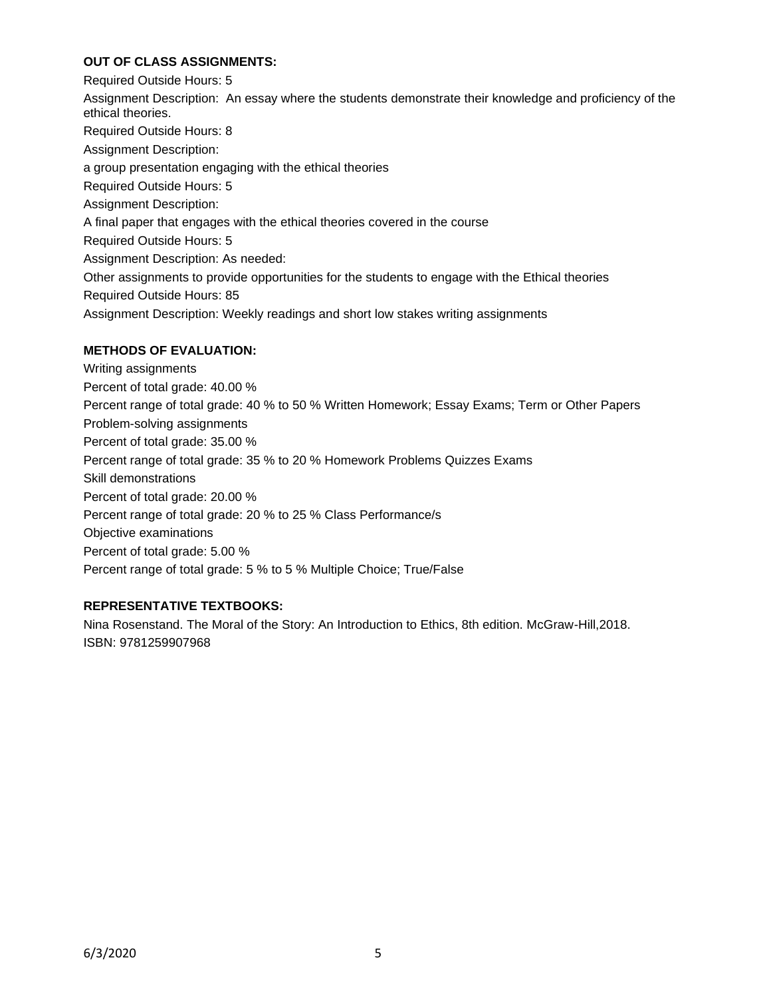## **OUT OF CLASS ASSIGNMENTS:**

Required Outside Hours: 5 Assignment Description: An essay where the students demonstrate their knowledge and proficiency of the ethical theories. Required Outside Hours: 8 Assignment Description: a group presentation engaging with the ethical theories Required Outside Hours: 5 Assignment Description: A final paper that engages with the ethical theories covered in the course Required Outside Hours: 5 Assignment Description: As needed: Other assignments to provide opportunities for the students to engage with the Ethical theories Required Outside Hours: 85 Assignment Description: Weekly readings and short low stakes writing assignments

## **METHODS OF EVALUATION:**

Writing assignments Percent of total grade: 40.00 % Percent range of total grade: 40 % to 50 % Written Homework; Essay Exams; Term or Other Papers Problem-solving assignments Percent of total grade: 35.00 % Percent range of total grade: 35 % to 20 % Homework Problems Quizzes Exams Skill demonstrations Percent of total grade: 20.00 % Percent range of total grade: 20 % to 25 % Class Performance/s Objective examinations Percent of total grade: 5.00 % Percent range of total grade: 5 % to 5 % Multiple Choice; True/False

# **REPRESENTATIVE TEXTBOOKS:**

Nina Rosenstand. The Moral of the Story: An Introduction to Ethics, 8th edition. McGraw-Hill,2018. ISBN: 9781259907968